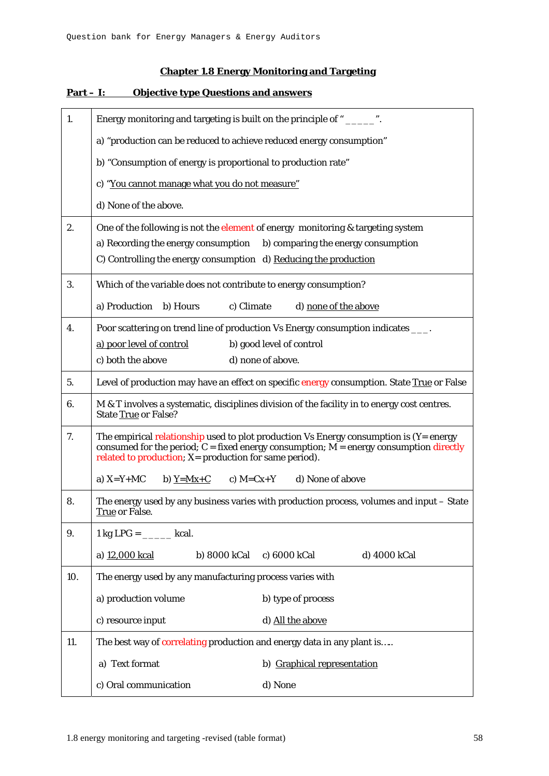## **Chapter 1.8 Energy Monitoring and Targeting**

| 1.  | Energy monitoring and targeting is built on the principle of "______".                                                                                                                                                                             |  |  |  |  |  |
|-----|----------------------------------------------------------------------------------------------------------------------------------------------------------------------------------------------------------------------------------------------------|--|--|--|--|--|
|     | a) "production can be reduced to achieve reduced energy consumption"                                                                                                                                                                               |  |  |  |  |  |
|     | b) "Consumption of energy is proportional to production rate"                                                                                                                                                                                      |  |  |  |  |  |
|     | c) "You cannot manage what you do not measure"                                                                                                                                                                                                     |  |  |  |  |  |
|     | d) None of the above.                                                                                                                                                                                                                              |  |  |  |  |  |
| 2.  | One of the following is not the element of energy monitoring & targeting system                                                                                                                                                                    |  |  |  |  |  |
|     | a) Recording the energy consumption<br>b) comparing the energy consumption                                                                                                                                                                         |  |  |  |  |  |
|     | C) Controlling the energy consumption d) Reducing the production                                                                                                                                                                                   |  |  |  |  |  |
| 3.  | Which of the variable does not contribute to energy consumption?                                                                                                                                                                                   |  |  |  |  |  |
|     | a) Production<br>b) Hours<br>c) Climate<br>d) none of the above                                                                                                                                                                                    |  |  |  |  |  |
| 4.  | Poor scattering on trend line of production Vs Energy consumption indicates ____.                                                                                                                                                                  |  |  |  |  |  |
|     | b) good level of control<br>a) poor level of control                                                                                                                                                                                               |  |  |  |  |  |
|     | c) both the above<br>d) none of above.                                                                                                                                                                                                             |  |  |  |  |  |
| 5.  | Level of production may have an effect on specific energy consumption. State True or False                                                                                                                                                         |  |  |  |  |  |
| 6.  | M & T involves a systematic, disciplines division of the facility in to energy cost centres.<br><b>State True or False?</b>                                                                                                                        |  |  |  |  |  |
| 7.  | The empirical relationship used to plot production Vs Energy consumption is $(Y = energy)$<br>consumed for the period; $C = fixed$ energy consumption; $M = energy$ consumption directly<br>related to production; X= production for same period). |  |  |  |  |  |
|     | a) $X=Y+MC$<br>c) $M=Cx+Y$<br>d) None of above<br>b) $Y=Mx+C$                                                                                                                                                                                      |  |  |  |  |  |
| 8.  | The energy used by any business varies with production process, volumes and input - State<br>True or False.                                                                                                                                        |  |  |  |  |  |
| 9.  | $1 \text{ kg} \text{ LPG} = \_\_\_\_\_\_\_\$ kcal.                                                                                                                                                                                                 |  |  |  |  |  |
|     | a) 12,000 kcal<br>b) 8000 kCal<br>c) 6000 kCal<br>d) 4000 kCal                                                                                                                                                                                     |  |  |  |  |  |
| 10. | The energy used by any manufacturing process varies with                                                                                                                                                                                           |  |  |  |  |  |
|     | a) production volume<br>b) type of process                                                                                                                                                                                                         |  |  |  |  |  |
|     | d) All the above<br>c) resource input                                                                                                                                                                                                              |  |  |  |  |  |
| 11. | The best way of correlating production and energy data in any plant is                                                                                                                                                                             |  |  |  |  |  |
|     | a) Text format<br>b) Graphical representation                                                                                                                                                                                                      |  |  |  |  |  |
|     | c) Oral communication<br>d) None                                                                                                                                                                                                                   |  |  |  |  |  |

## **Part – I: Objective type Questions and answers**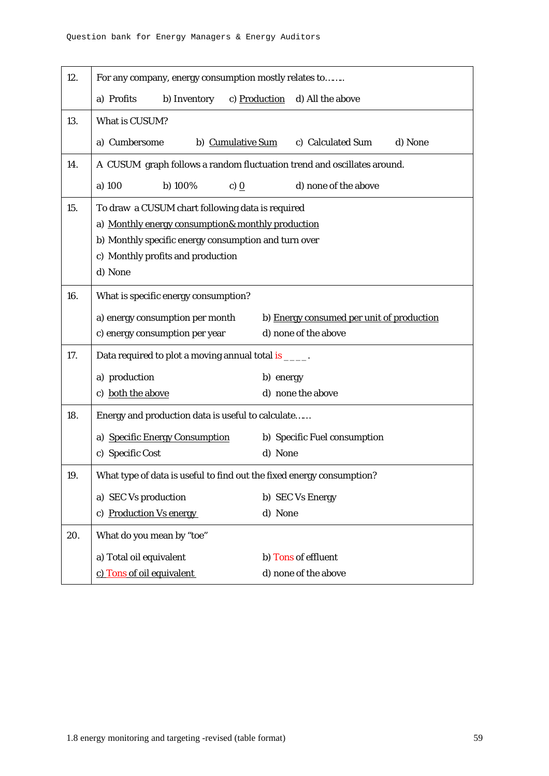| 12. | For any company, energy consumption mostly relates to                   |               |                                           |  |  |  |
|-----|-------------------------------------------------------------------------|---------------|-------------------------------------------|--|--|--|
|     | a) Profits<br>b) Inventory                                              | c) Production | d) All the above                          |  |  |  |
| 13. | What is CUSUM?                                                          |               |                                           |  |  |  |
|     | a) Cumbersome<br>b) Cumulative Sum                                      |               | c) Calculated Sum<br>d) None              |  |  |  |
| 14. | A CUSUM graph follows a random fluctuation trend and oscillates around. |               |                                           |  |  |  |
|     | a) 100<br>b) 100%<br>c) $\Omega$                                        |               | d) none of the above                      |  |  |  |
| 15. | To draw a CUSUM chart following data is required                        |               |                                           |  |  |  |
|     | a) Monthly energy consumption& monthly production                       |               |                                           |  |  |  |
|     | b) Monthly specific energy consumption and turn over                    |               |                                           |  |  |  |
|     | c) Monthly profits and production                                       |               |                                           |  |  |  |
|     | d) None                                                                 |               |                                           |  |  |  |
| 16. | What is specific energy consumption?                                    |               |                                           |  |  |  |
|     | a) energy consumption per month                                         |               | b) Energy consumed per unit of production |  |  |  |
|     | c) energy consumption per year                                          |               | d) none of the above                      |  |  |  |
| 17. | Data required to plot a moving annual total is _____.                   |               |                                           |  |  |  |
|     | a) production                                                           | b) energy     |                                           |  |  |  |
|     | c) both the above                                                       |               | d) none the above                         |  |  |  |
| 18. | Energy and production data is useful to calculate                       |               |                                           |  |  |  |
|     | a) Specific Energy Consumption                                          |               | b) Specific Fuel consumption              |  |  |  |
|     | c) Specific Cost                                                        | d) None       |                                           |  |  |  |
| 19  | What type of data is useful to find out the fixed energy consumption?   |               |                                           |  |  |  |
|     | a) SEC Vs production                                                    |               | b) SEC Vs Energy                          |  |  |  |
|     | c) Production Vs energy                                                 | d) None       |                                           |  |  |  |
| 20. | What do you mean by "toe"                                               |               |                                           |  |  |  |
|     | a) Total oil equivalent                                                 |               | b) Tons of effluent                       |  |  |  |
|     | c) Tons of oil equivalent                                               |               | d) none of the above                      |  |  |  |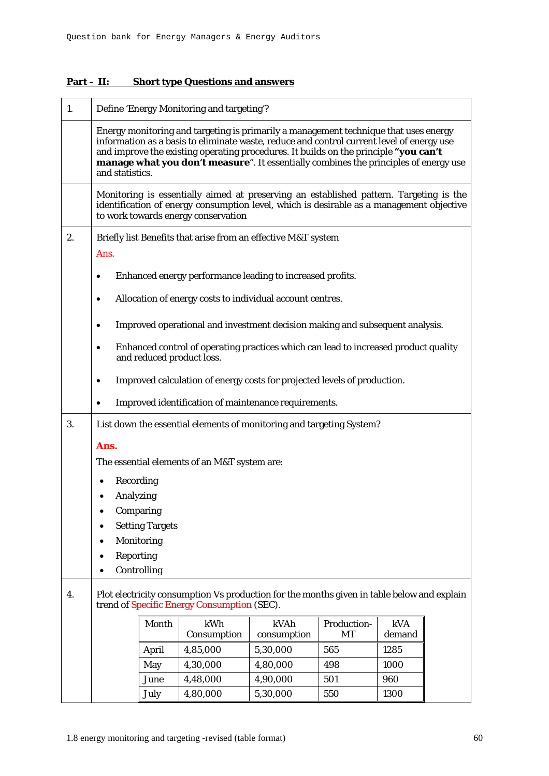| 1. |                                                                                                                                           | Define 'Energy Monitoring and targeting'?                                                                                                                                                                                                                                                                                                                                            |                                                                                                                                                                                                                           |             |             |        |  |
|----|-------------------------------------------------------------------------------------------------------------------------------------------|--------------------------------------------------------------------------------------------------------------------------------------------------------------------------------------------------------------------------------------------------------------------------------------------------------------------------------------------------------------------------------------|---------------------------------------------------------------------------------------------------------------------------------------------------------------------------------------------------------------------------|-------------|-------------|--------|--|
|    |                                                                                                                                           | Energy monitoring and targeting is primarily a management technique that uses energy<br>information as a basis to eliminate waste, reduce and control current level of energy use<br>and improve the existing operating procedures. It builds on the principle "you can't<br>manage what you don't measure". It essentially combines the principles of energy use<br>and statistics. |                                                                                                                                                                                                                           |             |             |        |  |
|    |                                                                                                                                           |                                                                                                                                                                                                                                                                                                                                                                                      | Monitoring is essentially aimed at preserving an established pattern. Targeting is the<br>identification of energy consumption level, which is desirable as a management objective<br>to work towards energy conservation |             |             |        |  |
| 2. |                                                                                                                                           |                                                                                                                                                                                                                                                                                                                                                                                      | Briefly list Benefits that arise from an effective M&T system                                                                                                                                                             |             |             |        |  |
|    | Ans.                                                                                                                                      |                                                                                                                                                                                                                                                                                                                                                                                      |                                                                                                                                                                                                                           |             |             |        |  |
|    |                                                                                                                                           |                                                                                                                                                                                                                                                                                                                                                                                      | Enhanced energy performance leading to increased profits.                                                                                                                                                                 |             |             |        |  |
|    | ٠                                                                                                                                         |                                                                                                                                                                                                                                                                                                                                                                                      | Allocation of energy costs to individual account centres.                                                                                                                                                                 |             |             |        |  |
|    |                                                                                                                                           |                                                                                                                                                                                                                                                                                                                                                                                      | Improved operational and investment decision making and subsequent analysis.                                                                                                                                              |             |             |        |  |
|    |                                                                                                                                           |                                                                                                                                                                                                                                                                                                                                                                                      |                                                                                                                                                                                                                           |             |             |        |  |
|    | ٠                                                                                                                                         |                                                                                                                                                                                                                                                                                                                                                                                      | Enhanced control of operating practices which can lead to increased product quality<br>and reduced product loss.                                                                                                          |             |             |        |  |
|    |                                                                                                                                           |                                                                                                                                                                                                                                                                                                                                                                                      | Improved calculation of energy costs for projected levels of production.                                                                                                                                                  |             |             |        |  |
|    | Improved identification of maintenance requirements.                                                                                      |                                                                                                                                                                                                                                                                                                                                                                                      |                                                                                                                                                                                                                           |             |             |        |  |
| 3. | List down the essential elements of monitoring and targeting System?                                                                      |                                                                                                                                                                                                                                                                                                                                                                                      |                                                                                                                                                                                                                           |             |             |        |  |
|    | Ans.                                                                                                                                      |                                                                                                                                                                                                                                                                                                                                                                                      |                                                                                                                                                                                                                           |             |             |        |  |
|    | The essential elements of an M&T system are:                                                                                              |                                                                                                                                                                                                                                                                                                                                                                                      |                                                                                                                                                                                                                           |             |             |        |  |
|    | Recording                                                                                                                                 |                                                                                                                                                                                                                                                                                                                                                                                      |                                                                                                                                                                                                                           |             |             |        |  |
|    | Analyzing                                                                                                                                 |                                                                                                                                                                                                                                                                                                                                                                                      |                                                                                                                                                                                                                           |             |             |        |  |
|    | Comparing                                                                                                                                 |                                                                                                                                                                                                                                                                                                                                                                                      |                                                                                                                                                                                                                           |             |             |        |  |
|    | <b>Setting Targets</b><br>$\bullet$                                                                                                       |                                                                                                                                                                                                                                                                                                                                                                                      |                                                                                                                                                                                                                           |             |             |        |  |
|    | Monitoring                                                                                                                                |                                                                                                                                                                                                                                                                                                                                                                                      |                                                                                                                                                                                                                           |             |             |        |  |
|    | Reporting<br>٠                                                                                                                            |                                                                                                                                                                                                                                                                                                                                                                                      |                                                                                                                                                                                                                           |             |             |        |  |
|    | $\bullet$                                                                                                                                 | Controlling                                                                                                                                                                                                                                                                                                                                                                          |                                                                                                                                                                                                                           |             |             |        |  |
| 4. | Plot electricity consumption Vs production for the months given in table below and explain<br>trend of Specific Energy Consumption (SEC). |                                                                                                                                                                                                                                                                                                                                                                                      |                                                                                                                                                                                                                           |             |             |        |  |
|    |                                                                                                                                           | Month                                                                                                                                                                                                                                                                                                                                                                                | kWh                                                                                                                                                                                                                       | kVAh        | Production- | kVA    |  |
|    |                                                                                                                                           |                                                                                                                                                                                                                                                                                                                                                                                      | Consumption                                                                                                                                                                                                               | consumption | MT          | demand |  |
|    |                                                                                                                                           | April                                                                                                                                                                                                                                                                                                                                                                                | 4,85,000                                                                                                                                                                                                                  | 5,30,000    | 565         | 1285   |  |
|    |                                                                                                                                           | May                                                                                                                                                                                                                                                                                                                                                                                  | 4,30,000                                                                                                                                                                                                                  | 4,80,000    | 498         | 1000   |  |
|    |                                                                                                                                           | June                                                                                                                                                                                                                                                                                                                                                                                 | 4,48,000                                                                                                                                                                                                                  | 4,90,000    | 501         | 960    |  |
|    |                                                                                                                                           | July                                                                                                                                                                                                                                                                                                                                                                                 | 4,80,000                                                                                                                                                                                                                  | 5,30,000    | 550         | 1300   |  |

## **Part – II: Short type Questions and answers**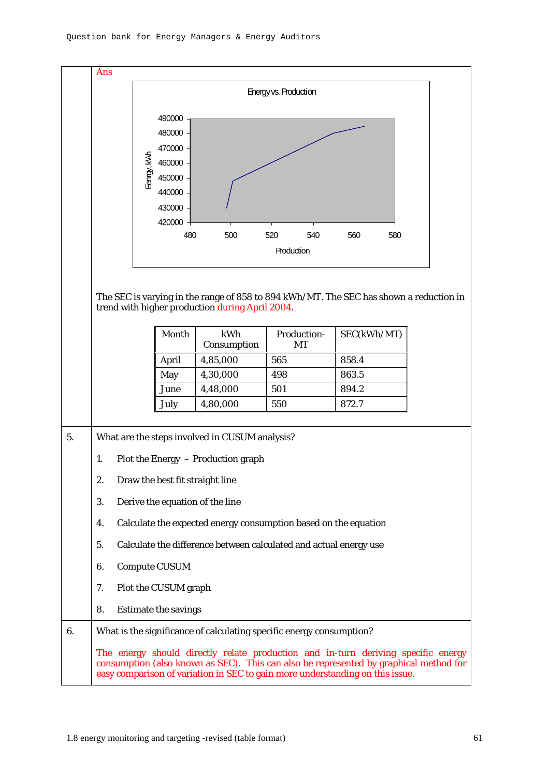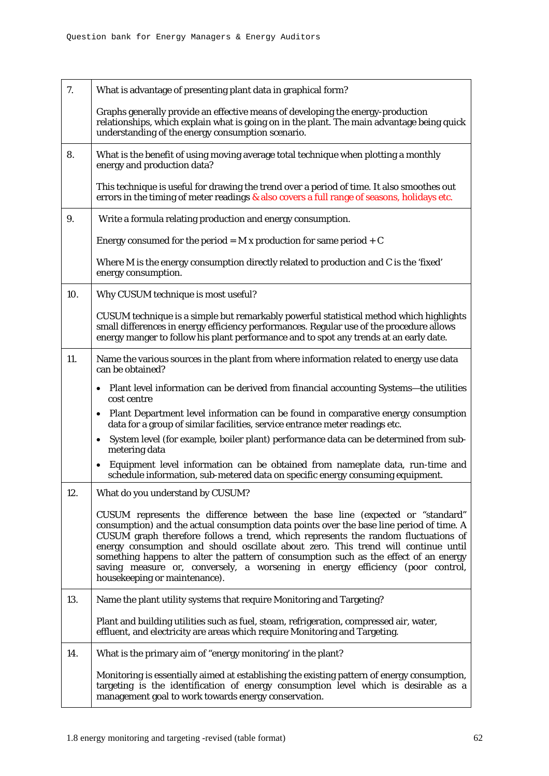| 7.  | What is advantage of presenting plant data in graphical form?                                                                                                                                                                                                                                                                                                                                                                                                                                                                                                     |
|-----|-------------------------------------------------------------------------------------------------------------------------------------------------------------------------------------------------------------------------------------------------------------------------------------------------------------------------------------------------------------------------------------------------------------------------------------------------------------------------------------------------------------------------------------------------------------------|
|     | Graphs generally provide an effective means of developing the energy-production<br>relationships, which explain what is going on in the plant. The main advantage being quick<br>understanding of the energy consumption scenario.                                                                                                                                                                                                                                                                                                                                |
| 8.  | What is the benefit of using moving average total technique when plotting a monthly<br>energy and production data?                                                                                                                                                                                                                                                                                                                                                                                                                                                |
|     | This technique is useful for drawing the trend over a period of time. It also smoothes out<br>errors in the timing of meter readings & also covers a full range of seasons, holidays etc.                                                                                                                                                                                                                                                                                                                                                                         |
| 9.  | Write a formula relating production and energy consumption.                                                                                                                                                                                                                                                                                                                                                                                                                                                                                                       |
|     | Energy consumed for the period = $M x$ production for same period + $C$                                                                                                                                                                                                                                                                                                                                                                                                                                                                                           |
|     | Where M is the energy consumption directly related to production and C is the 'fixed'<br>energy consumption.                                                                                                                                                                                                                                                                                                                                                                                                                                                      |
| 10. | Why CUSUM technique is most useful?                                                                                                                                                                                                                                                                                                                                                                                                                                                                                                                               |
|     | CUSUM technique is a simple but remarkably powerful statistical method which highlights<br>small differences in energy efficiency performances. Regular use of the procedure allows<br>energy manger to follow his plant performance and to spot any trends at an early date.                                                                                                                                                                                                                                                                                     |
| 11. | Name the various sources in the plant from where information related to energy use data<br>can be obtained?                                                                                                                                                                                                                                                                                                                                                                                                                                                       |
|     | • Plant level information can be derived from financial accounting Systems—the utilities<br>cost centre                                                                                                                                                                                                                                                                                                                                                                                                                                                           |
|     | • Plant Department level information can be found in comparative energy consumption<br>data for a group of similar facilities, service entrance meter readings etc.                                                                                                                                                                                                                                                                                                                                                                                               |
|     | System level (for example, boiler plant) performance data can be determined from sub-<br>$\bullet$<br>metering data                                                                                                                                                                                                                                                                                                                                                                                                                                               |
|     | • Equipment level information can be obtained from nameplate data, run-time and<br>schedule information, sub-metered data on specific energy consuming equipment.                                                                                                                                                                                                                                                                                                                                                                                                 |
| 12. | What do you understand by CUSUM?                                                                                                                                                                                                                                                                                                                                                                                                                                                                                                                                  |
|     | CUSUM represents the difference between the base line (expected or "standard"<br>consumption) and the actual consumption data points over the base line period of time. A<br>CUSUM graph therefore follows a trend, which represents the random fluctuations of<br>energy consumption and should oscillate about zero. This trend will continue until<br>something happens to alter the pattern of consumption such as the effect of an energy<br>saving measure or, conversely, a worsening in energy efficiency (poor control,<br>housekeeping or maintenance). |
| 13. | Name the plant utility systems that require Monitoring and Targeting?                                                                                                                                                                                                                                                                                                                                                                                                                                                                                             |
|     | Plant and building utilities such as fuel, steam, refrigeration, compressed air, water,<br>effluent, and electricity are areas which require Monitoring and Targeting.                                                                                                                                                                                                                                                                                                                                                                                            |
| 14. | What is the primary aim of "energy monitoring' in the plant?                                                                                                                                                                                                                                                                                                                                                                                                                                                                                                      |
|     | Monitoring is essentially aimed at establishing the existing pattern of energy consumption,<br>targeting is the identification of energy consumption level which is desirable as a<br>management goal to work towards energy conservation.                                                                                                                                                                                                                                                                                                                        |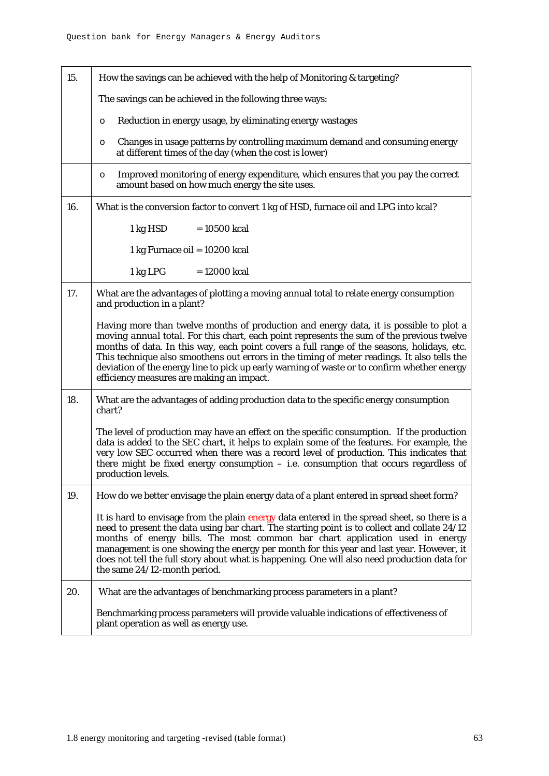| 15. | How the savings can be achieved with the help of Monitoring & targeting?                                                                                                                                                                                                                                                                                                                                                                                                                                                     |  |  |  |  |  |
|-----|------------------------------------------------------------------------------------------------------------------------------------------------------------------------------------------------------------------------------------------------------------------------------------------------------------------------------------------------------------------------------------------------------------------------------------------------------------------------------------------------------------------------------|--|--|--|--|--|
|     | The savings can be achieved in the following three ways:                                                                                                                                                                                                                                                                                                                                                                                                                                                                     |  |  |  |  |  |
|     | Reduction in energy usage, by eliminating energy wastages<br>O                                                                                                                                                                                                                                                                                                                                                                                                                                                               |  |  |  |  |  |
|     | Changes in usage patterns by controlling maximum demand and consuming energy<br>O<br>at different times of the day (when the cost is lower)                                                                                                                                                                                                                                                                                                                                                                                  |  |  |  |  |  |
|     | Improved monitoring of energy expenditure, which ensures that you pay the correct<br>O<br>amount based on how much energy the site uses.                                                                                                                                                                                                                                                                                                                                                                                     |  |  |  |  |  |
| 16. | What is the conversion factor to convert 1 kg of HSD, furnace oil and LPG into kcal?                                                                                                                                                                                                                                                                                                                                                                                                                                         |  |  |  |  |  |
|     | 1 kg HSD<br>$= 10500$ kcal                                                                                                                                                                                                                                                                                                                                                                                                                                                                                                   |  |  |  |  |  |
|     | 1 kg Furnace oil = 10200 kcal                                                                                                                                                                                                                                                                                                                                                                                                                                                                                                |  |  |  |  |  |
|     | 1 kg LPG<br>$= 12000$ kcal                                                                                                                                                                                                                                                                                                                                                                                                                                                                                                   |  |  |  |  |  |
| 17. | What are the advantages of plotting a moving annual total to relate energy consumption<br>and production in a plant?                                                                                                                                                                                                                                                                                                                                                                                                         |  |  |  |  |  |
|     | Having more than twelve months of production and energy data, it is possible to plot a<br>moving annual total. For this chart, each point represents the sum of the previous twelve<br>months of data. In this way, each point covers a full range of the seasons, holidays, etc.<br>This technique also smoothens out errors in the timing of meter readings. It also tells the<br>deviation of the energy line to pick up early warning of waste or to confirm whether energy<br>efficiency measures are making an impact. |  |  |  |  |  |
| 18. | What are the advantages of adding production data to the specific energy consumption<br>chart?                                                                                                                                                                                                                                                                                                                                                                                                                               |  |  |  |  |  |
|     | The level of production may have an effect on the specific consumption. If the production<br>data is added to the SEC chart, it helps to explain some of the features. For example, the<br>very low SEC occurred when there was a record level of production. This indicates that<br>there might be fixed energy consumption $-$ i.e. consumption that occurs regardless of<br>production levels.                                                                                                                            |  |  |  |  |  |
| 19. | How do we better envisage the plain energy data of a plant entered in spread sheet form?                                                                                                                                                                                                                                                                                                                                                                                                                                     |  |  |  |  |  |
|     | It is hard to envisage from the plain energy data entered in the spread sheet, so there is a<br>need to present the data using bar chart. The starting point is to collect and collate 24/12<br>months of energy bills. The most common bar chart application used in energy<br>management is one showing the energy per month for this year and last year. However, it<br>does not tell the full story about what is happening. One will also need production data for<br>the same 24/12-month period.                      |  |  |  |  |  |
| 20. | What are the advantages of benchmarking process parameters in a plant?                                                                                                                                                                                                                                                                                                                                                                                                                                                       |  |  |  |  |  |
|     | Benchmarking process parameters will provide valuable indications of effectiveness of<br>plant operation as well as energy use.                                                                                                                                                                                                                                                                                                                                                                                              |  |  |  |  |  |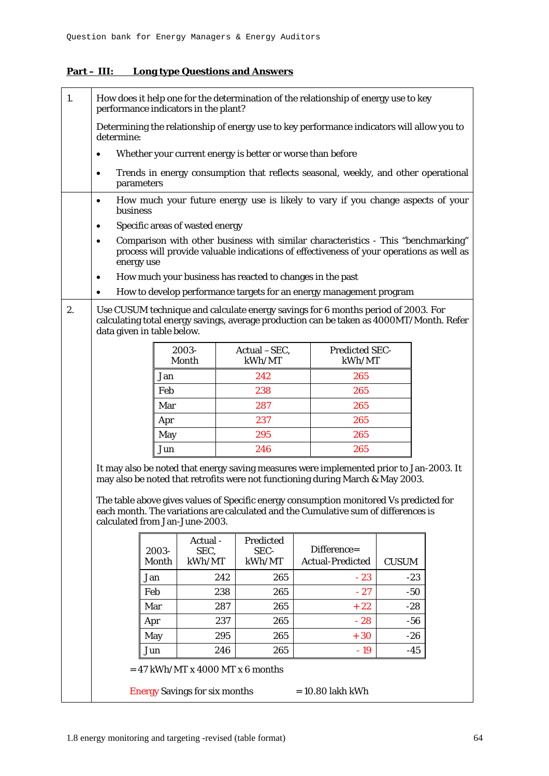## **Part – III: Long type Questions and Answers**

| 1. | How does it help one for the determination of the relationship of energy use to key<br>performance indicators in the plant?                                                                                                                                                                                                                                                                 |                |                                 |                                    |                                                                                                                                                                               |              |  |
|----|---------------------------------------------------------------------------------------------------------------------------------------------------------------------------------------------------------------------------------------------------------------------------------------------------------------------------------------------------------------------------------------------|----------------|---------------------------------|------------------------------------|-------------------------------------------------------------------------------------------------------------------------------------------------------------------------------|--------------|--|
|    | Determining the relationship of energy use to key performance indicators will allow you to<br>determine:                                                                                                                                                                                                                                                                                    |                |                                 |                                    |                                                                                                                                                                               |              |  |
|    | $\bullet$                                                                                                                                                                                                                                                                                                                                                                                   |                |                                 |                                    | Whether your current energy is better or worse than before                                                                                                                    |              |  |
|    | $\bullet$<br>parameters                                                                                                                                                                                                                                                                                                                                                                     |                |                                 |                                    | Trends in energy consumption that reflects seasonal, weekly, and other operational                                                                                            |              |  |
|    | $\bullet$<br>business                                                                                                                                                                                                                                                                                                                                                                       |                |                                 |                                    | How much your future energy use is likely to vary if you change aspects of your                                                                                               |              |  |
|    | ٠                                                                                                                                                                                                                                                                                                                                                                                           |                | Specific areas of wasted energy |                                    |                                                                                                                                                                               |              |  |
|    | $\bullet$<br>energy use                                                                                                                                                                                                                                                                                                                                                                     |                |                                 |                                    | Comparison with other business with similar characteristics - This "benchmarking"<br>process will provide valuable indications of effectiveness of your operations as well as |              |  |
|    | ٠                                                                                                                                                                                                                                                                                                                                                                                           |                |                                 |                                    | How much your business has reacted to changes in the past                                                                                                                     |              |  |
|    | $\bullet$                                                                                                                                                                                                                                                                                                                                                                                   |                |                                 |                                    | How to develop performance targets for an energy management program                                                                                                           |              |  |
| 2. | Use CUSUM technique and calculate energy savings for 6 months period of 2003. For<br>calculating total energy savings, average production can be taken as 4000MT/Month. Refer<br>data given in table below.                                                                                                                                                                                 |                |                                 |                                    |                                                                                                                                                                               |              |  |
|    |                                                                                                                                                                                                                                                                                                                                                                                             |                | 2003-<br>Month                  | Actual -SEC,<br>kWh/MT             | <b>Predicted SEC-</b><br>kWh/MT                                                                                                                                               |              |  |
|    |                                                                                                                                                                                                                                                                                                                                                                                             | Jan            |                                 | 242                                | 265                                                                                                                                                                           |              |  |
|    |                                                                                                                                                                                                                                                                                                                                                                                             | Feb            |                                 | 238                                | 265                                                                                                                                                                           |              |  |
|    |                                                                                                                                                                                                                                                                                                                                                                                             | Mar            |                                 | 287                                | 265                                                                                                                                                                           |              |  |
|    |                                                                                                                                                                                                                                                                                                                                                                                             | Apr            |                                 | 237                                | 265                                                                                                                                                                           |              |  |
|    |                                                                                                                                                                                                                                                                                                                                                                                             | May            |                                 | 295                                | 265                                                                                                                                                                           |              |  |
|    |                                                                                                                                                                                                                                                                                                                                                                                             | Jun            |                                 | 246                                | 265                                                                                                                                                                           |              |  |
|    | It may also be noted that energy saving measures were implemented prior to Jan-2003. It<br>may also be noted that retrofits were not functioning during March & May 2003.<br>The table above gives values of Specific energy consumption monitored Vs predicted for<br>each month. The variations are calculated and the Cumulative sum of differences is<br>calculated from Jan-June-2003. |                |                                 |                                    |                                                                                                                                                                               |              |  |
|    |                                                                                                                                                                                                                                                                                                                                                                                             |                | Actual -                        | Predicted                          |                                                                                                                                                                               |              |  |
|    |                                                                                                                                                                                                                                                                                                                                                                                             | 2003-<br>Month | SEC,<br>kWh/MT                  | SEC-<br>kWh/MT                     | Difference=<br><b>Actual-Predicted</b>                                                                                                                                        | <b>CUSUM</b> |  |
|    |                                                                                                                                                                                                                                                                                                                                                                                             | Jan            | 242                             | 265                                | $-23$                                                                                                                                                                         | $-23$        |  |
|    |                                                                                                                                                                                                                                                                                                                                                                                             | Feb            | 238                             | 265                                | $-27$                                                                                                                                                                         | $-50$        |  |
|    |                                                                                                                                                                                                                                                                                                                                                                                             | Mar            | 287                             | 265                                | $+22$                                                                                                                                                                         | $-28$        |  |
|    |                                                                                                                                                                                                                                                                                                                                                                                             | Apr            | 237                             | 265                                | $-28$                                                                                                                                                                         | -56          |  |
|    |                                                                                                                                                                                                                                                                                                                                                                                             | May            | 295                             | 265                                | $+30$                                                                                                                                                                         | $-26$        |  |
|    |                                                                                                                                                                                                                                                                                                                                                                                             | Jun            | 246                             | 265                                | $-19$                                                                                                                                                                         | $-45$        |  |
|    |                                                                                                                                                                                                                                                                                                                                                                                             |                |                                 | $= 47$ kWh/MT x 4000 MT x 6 months |                                                                                                                                                                               |              |  |
|    | <b>Energy Savings for six months</b><br>$= 10.80$ lakh kWh                                                                                                                                                                                                                                                                                                                                  |                |                                 |                                    |                                                                                                                                                                               |              |  |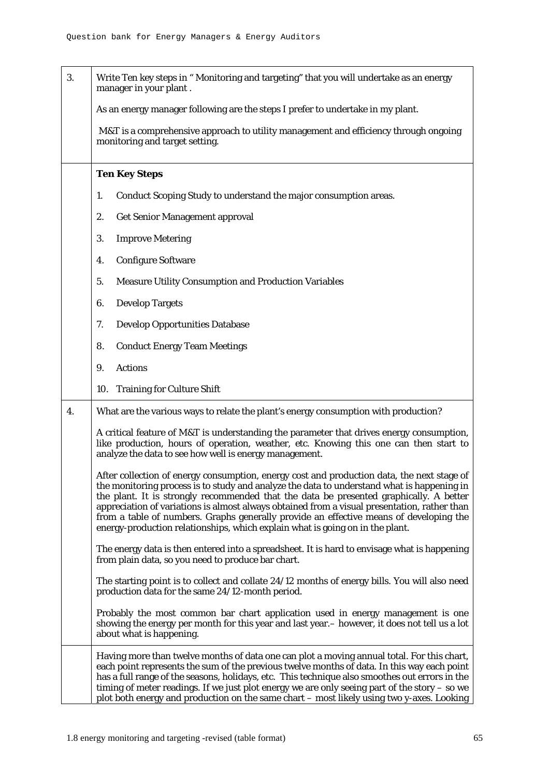| 3. | Write Ten key steps in "Monitoring and targeting" that you will undertake as an energy<br>manager in your plant.                                                                                                                                                                                                                                                                                                                                                                                                                                              |  |  |  |  |  |
|----|---------------------------------------------------------------------------------------------------------------------------------------------------------------------------------------------------------------------------------------------------------------------------------------------------------------------------------------------------------------------------------------------------------------------------------------------------------------------------------------------------------------------------------------------------------------|--|--|--|--|--|
|    | As an energy manager following are the steps I prefer to undertake in my plant.                                                                                                                                                                                                                                                                                                                                                                                                                                                                               |  |  |  |  |  |
|    | M&T is a comprehensive approach to utility management and efficiency through ongoing<br>monitoring and target setting.                                                                                                                                                                                                                                                                                                                                                                                                                                        |  |  |  |  |  |
|    | <b>Ten Key Steps</b>                                                                                                                                                                                                                                                                                                                                                                                                                                                                                                                                          |  |  |  |  |  |
|    | Conduct Scoping Study to understand the major consumption areas.<br>1.                                                                                                                                                                                                                                                                                                                                                                                                                                                                                        |  |  |  |  |  |
|    | <b>Get Senior Management approval</b><br>2.                                                                                                                                                                                                                                                                                                                                                                                                                                                                                                                   |  |  |  |  |  |
|    | <b>Improve Metering</b><br>3.                                                                                                                                                                                                                                                                                                                                                                                                                                                                                                                                 |  |  |  |  |  |
|    | <b>Configure Software</b><br>4.                                                                                                                                                                                                                                                                                                                                                                                                                                                                                                                               |  |  |  |  |  |
|    | <b>Measure Utility Consumption and Production Variables</b><br>5.                                                                                                                                                                                                                                                                                                                                                                                                                                                                                             |  |  |  |  |  |
|    | <b>Develop Targets</b><br>6.                                                                                                                                                                                                                                                                                                                                                                                                                                                                                                                                  |  |  |  |  |  |
|    | <b>Develop Opportunities Database</b><br>7.                                                                                                                                                                                                                                                                                                                                                                                                                                                                                                                   |  |  |  |  |  |
|    | <b>Conduct Energy Team Meetings</b><br>8.                                                                                                                                                                                                                                                                                                                                                                                                                                                                                                                     |  |  |  |  |  |
|    | <b>Actions</b><br>9.                                                                                                                                                                                                                                                                                                                                                                                                                                                                                                                                          |  |  |  |  |  |
|    | 10. Training for Culture Shift                                                                                                                                                                                                                                                                                                                                                                                                                                                                                                                                |  |  |  |  |  |
| 4. | What are the various ways to relate the plant's energy consumption with production?                                                                                                                                                                                                                                                                                                                                                                                                                                                                           |  |  |  |  |  |
|    | A critical feature of M&T is understanding the parameter that drives energy consumption,<br>like production, hours of operation, weather, etc. Knowing this one can then start to<br>analyze the data to see how well is energy management.                                                                                                                                                                                                                                                                                                                   |  |  |  |  |  |
|    | After collection of energy consumption, energy cost and production data, the next stage of<br>the monitoring process is to study and analyze the data to understand what is happening in<br>the plant. It is strongly recommended that the data be presented graphically. A better<br>appreciation of variations is almost always obtained from a visual presentation, rather than<br>from a table of numbers. Graphs generally provide an effective means of developing the<br>energy-production relationships, which explain what is going on in the plant. |  |  |  |  |  |
|    | The energy data is then entered into a spreadsheet. It is hard to envisage what is happening<br>from plain data, so you need to produce bar chart.                                                                                                                                                                                                                                                                                                                                                                                                            |  |  |  |  |  |
|    | The starting point is to collect and collate 24/12 months of energy bills. You will also need<br>production data for the same 24/12-month period.                                                                                                                                                                                                                                                                                                                                                                                                             |  |  |  |  |  |
|    | Probably the most common bar chart application used in energy management is one<br>showing the energy per month for this year and last year. – however, it does not tell us a lot<br>about what is happening.                                                                                                                                                                                                                                                                                                                                                 |  |  |  |  |  |
|    | Having more than twelve months of data one can plot a moving annual total. For this chart,<br>each point represents the sum of the previous twelve months of data. In this way each point<br>has a full range of the seasons, holidays, etc. This technique also smoothes out errors in the<br>timing of meter readings. If we just plot energy we are only seeing part of the story – so we<br>plot both energy and production on the same chart – most likely using two y-axes. Looking                                                                     |  |  |  |  |  |